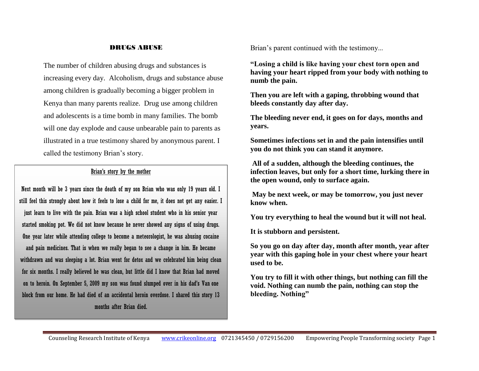#### DRUGS ABUSE

The number of children abusing drugs and substances is increasing every day. Alcoholism, drugs and substance abuse among children is gradually becoming a bigger problem in Kenya than many parents realize. Drug use among children and adolescents is a time bomb in many families. The bomb will one day explode and cause unbearable pain to parents as illustrated in a true testimony shared by anonymous parent. I called the testimony Brian's story.

### Brian's story by the mother

Next month will be 3 years since the death of my son Brian who was only 19 years old. I still feel this strongly about how it feels to lose a child for me, it does not get any easier. I just learn to live with the pain. Brian was a high school student who in his senior year started smoking pot. We did not know because he never showed any signs of using drugs. One year later while attending college to become a meteorologist, he was abusing cocaine and pain medicines. That is when we really began to see a change in him. He became withdrawn and was sleeping a lot. Brian went for detox and we celebrated him being clean for six months. I really believed he was clean, but little did I know that Brian had moved on to heroin. On September 5, 2009 my son was found slumped over in his dad's Van one block from our home. He had died of an accidental heroin overdose. I shared this story 13 months after Brian died.

Brian's parent continued with the testimony...

**"Losing a child is like having your chest torn open and having your heart ripped from your body with nothing to numb the pain.** 

**Then you are left with a gaping, throbbing wound that bleeds constantly day after day.** 

**The bleeding never end, it goes on for days, months and years.** 

**Sometimes infections set in and the pain intensifies until you do not think you can stand it anymore.**

**All of a sudden, although the bleeding continues, the infection leaves, but only for a short time, lurking there in the open wound, only to surface again.**

**May be next week, or may be tomorrow, you just never know when.** 

**You try everything to heal the wound but it will not heal.** 

**It is stubborn and persistent.** 

**So you go on day after day, month after month, year after year with this gaping hole in your chest where your heart used to be.**

**You try to fill it with other things, but nothing can fill the void. Nothing can numb the pain, nothing can stop the bleeding. Nothing"**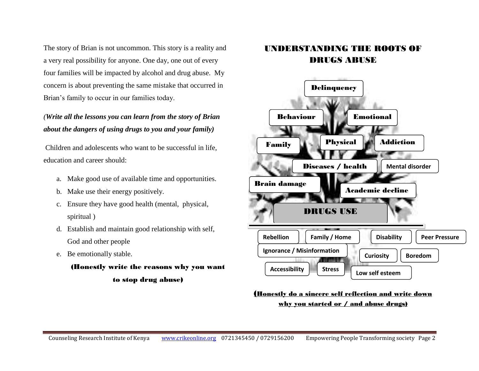The story of Brian is not uncommon. This story is a reality and a very real possibility for anyone. One day, one out of every four families will be impacted by alcohol and drug abuse. My concern is about preventing the same mistake that occurred in Brian's family to occur in our families today.

### *(Write all the lessons you can learn from the story of Brian about the dangers of using drugs to you and your family)*

Children and adolescents who want to be successful in life, education and career should:

- a. Make good use of available time and opportunities.
- b. Make use their energy positively.
- c. Ensure they have good health (mental, physical, spiritual )
- d. Establish and maintain good relationship with self, God and other people
- e. Be emotionally stable.

## (Honestly write the reasons why you want to stop drug abuse)

## UNDERSTANDING THE ROOTS OF DRUGS ABUSE



### (Honestly do a sincere self reflection and write down why you started or / and abuse drugs)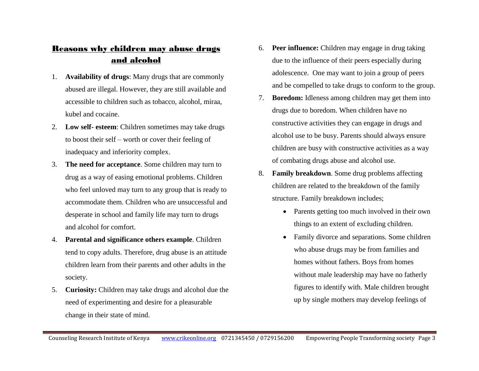## Reasons why children may abuse drugs and alcohol

- 1. **Availability of drugs**: Many drugs that are commonly abused are illegal. However, they are still available and accessible to children such as tobacco, alcohol, miraa, kubel and cocaine.
- 2. **Low self- esteem**: Children sometimes may take drugs to boost their self – worth or cover their feeling of inadequacy and inferiority complex.
- 3. **The need for acceptance**. Some children may turn to drug as a way of easing emotional problems. Children who feel unloved may turn to any group that is ready to accommodate them. Children who are unsuccessful and desperate in school and family life may turn to drugs and alcohol for comfort.
- 4. **Parental and significance others example**. Children tend to copy adults. Therefore, drug abuse is an attitude children learn from their parents and other adults in the society.
- 5. **Curiosity:** Children may take drugs and alcohol due the need of experimenting and desire for a pleasurable change in their state of mind.
- 6. **Peer influence:** Children may engage in drug taking due to the influence of their peers especially during adolescence. One may want to join a group of peers and be compelled to take drugs to conform to the group.
- 7. **Boredom:** Idleness among children may get them into drugs due to boredom. When children have no constructive activities they can engage in drugs and alcohol use to be busy. Parents should always ensure children are busy with constructive activities as a way of combating drugs abuse and alcohol use.
- 8. **Family breakdown**. Some drug problems affecting children are related to the breakdown of the family structure. Family breakdown includes;
	- Parents getting too much involved in their own things to an extent of excluding children.
	- Family divorce and separations. Some children who abuse drugs may be from families and homes without fathers. Boys from homes without male leadership may have no fatherly figures to identify with. Male children brought up by single mothers may develop feelings of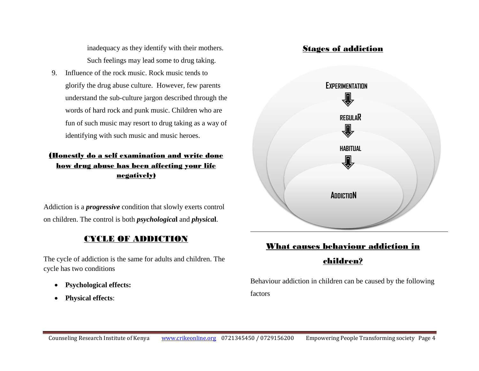inadequacy as they identify with their mothers. Such feelings may lead some to drug taking.

9. Influence of the rock music. Rock music tends to glorify the drug abuse culture. However, few parents understand the sub-culture jargon described through the words of hard rock and punk music. Children who are fun of such music may resort to drug taking as a way of identifying with such music and music heroes.

### (Honestly do a self examination and write done how drug abuse has been affecting your life negatively)

Addiction is a *progressive* condition that slowly exerts control on children. The control is both *psychologica***l** and *physica***l**.

### CYCLE OF ADDICTION

The cycle of addiction is the same for adults and children. The cycle has two conditions

- **Psychological effects:**
- **Physical effects**:



# What causes behaviour addiction in children?

Behaviour addiction in children can be caused by the following factors

### Stages of addiction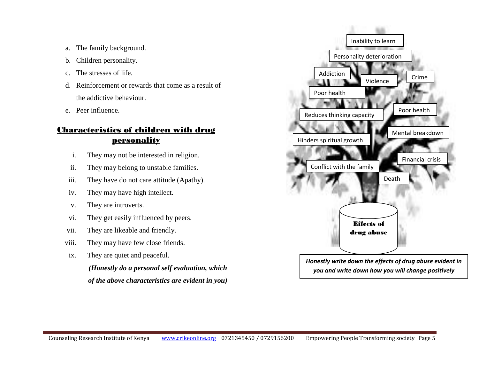- a. The family background.
- b. Children personality.
- c. The stresses of life.
- d. Reinforcement or rewards that come as a result of the addictive behaviour.
- e. Peer influence.

## Characteristics of children with drug **personality**

- i. They may not be interested in religion.
- ii. They may belong to unstable families.
- iii. They have do not care attitude (Apathy).
- iv. They may have high intellect.
- v. They are introverts.
- vi. They get easily influenced by peers.
- vii. They are likeable and friendly.
- viii. They may have few close friends.
- ix. They are quiet and peaceful.

*(Honestly do a personal self evaluation, which of the above characteristics are evident in you)*

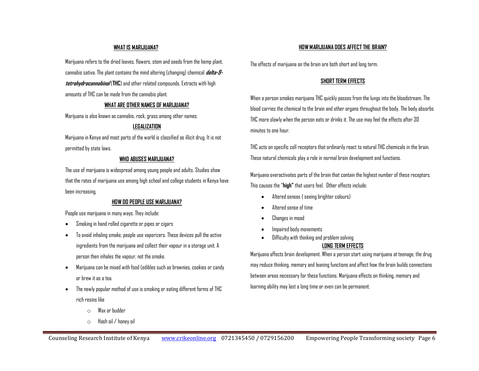#### **WHAT IS MARIJUANA?**

Marijuana refers to the dried leaves, flowers, stem and seeds from the hemp plant, cannabis sativa. The plant contains the mind altering (changing) chemical **delta-9 tetrahydrocannabinal** (**THC**) and other related compounds. Extracts with high amounts of THC can be made from the cannabis plant.

#### **WHAT ARE OTHER NAMES OF MARIJUANA?**

Marijuana is also known as cannabis, rock, grass among other names.

#### **LEGALIZATION**

Marijuana in Kenya and most parts of the world is classified as illicit drug. It is not permitted by state laws.

#### **WHO ABUSES MARIJUANA?**

The use of marijuana is widespread among young people and adults. Studies show that the rates of marijuana use among high school and college students in Kenya have been increasing.

#### **HOW DO PEOPLE USE MARIJUANA?**

People use marijuana in many ways. They include:

- Smoking in hand rolled cigarette or pipes or cigars
- To avoid inhaling smoke, people use vaporizers. These devices pull the active ingredients from the marijuana and collect their vapour in a storage unit. A person then inhales the vapour, not the smoke.
- Marijuana can be mixed with food (edibles such as brownies, cookies or candy or brew it as a tea.
- The newly popular method of use is smoking or eating different forms of THC rich resins like
	- o Wax or budder
	- o Hash oil / honey oil

#### **HOW MARIJUANA DOES AFFECT THE BRAIN?**

The effects of marijuana on the brain are both short and long term.

#### **SHORT TERM EFFECTS**

When a person smokes marijuana THC quickly passes from the lungs into the bloodstream. The blood carries the chemical to the brain and other organs throughout the body. The body absorbs THC more slowly when the person eats or drinks it. The use may feel the effects after 30 minutes to one hour.

THC acts on specific cell receptors that ordinarily react to natural THC chemicals in the brain. These natural chemicals play a role in normal brain development and functions.

Marijuana overactivates parts of the brain that contain the highest number of these receptors. This causes the "**high"** that users feel. Other effects include:

- Altered senses ( seeing brighter colours)
- Altered sense of time
- Changes in mood
- Impaired body movements
- Difficulty with thinking and problem solving

#### **LONG TERM EFFECTS**

Marijuana affects brain development. When a person start using marijuana at teenage, the drug may reduce thinking, memory and leaning functions and affect how the brain builds connections between areas necessary for these functions. Marijuana effects on thinking, memory and learning ability may last a long time or even can be permanent.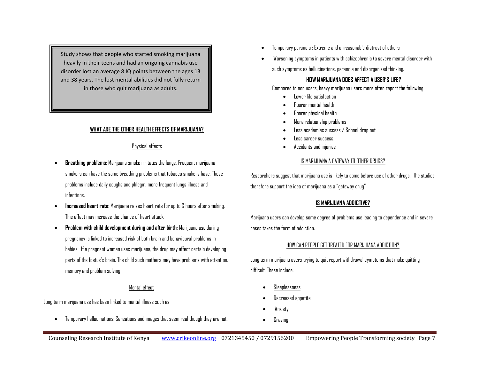Study shows that people who started smoking marijuana heavily in their teens and had an ongoing cannabis use disorder lost an average 8 IQ points between the ages 13 and 38 years. The lost mental abilities did not fully return in those who quit marijuana as adults.

#### **WHAT ARE THE OTHER HEALTH EFFECTS OF MARIJUANA?**

### Physical effects

- **Breathing problems**: Marijuana smoke irritates the lungs. Frequent marijuana smokers can have the same breathing problems that tobacco smokers have. These problems include daily coughs and phlegm, more frequent lungs illness and infections.
- **Increased heart rate**: Marijuana raises heart rate for up to 3 hours after smoking. This effect may increase the chance of heart attack.
- **Problem with child development during and after birth:** Marijuana use during pregnancy is linked to increased risk of both brain and behavioural problems in babies. If a pregnant woman uses marijuana, the drug may affect certain developing parts of the foetus's brain. The child such mothers may have problems with attention, memory and problem solving

#### Mental effect

Long term marijuana use has been linked to mental illness such as

Temporary hallucinations: Sensations and images that seem real though they are not.

- Temporary paranoia : Extreme and unreasonable distrust of others
- Worsening symptoms in patients with schizophrenia (a severe mental disorder with such symptoms as hallucinations, paranoia and disorganized thinking.

#### **HOW MARIJUANA DOES AFFECT A USER'S LIFE?**

Compared to non users, heavy marijuana users more often report the following

- Lower life satisfaction
- Poorer mental health
- Poorer physical health
- More relationship problems
- Less academies success / School drop out
- Less career success.
- Accidents and injuries

#### IS MARIJUANA A GATEWAY TO OTHER DRUGS?

Researchers suggest that marijuana use is likely to come before use of other drugs. The studies therefore support the idea of marijuana as a "gateway drug"

#### **IS MARIJUANA ADDICTIVE?**

Marijuana users can develop some degree of problems use leading to dependence and in severe cases takes the form of addiction**.**

#### HOW CAN PEOPLE GET TREATED FOR MARIJUANA ADDICTION?

Long term marijuana users trying to quit report withdrawal symptoms that make quitting difficult. These include:

- Sleeplessness
- Decreased appetite
- Anxiety
- Craving